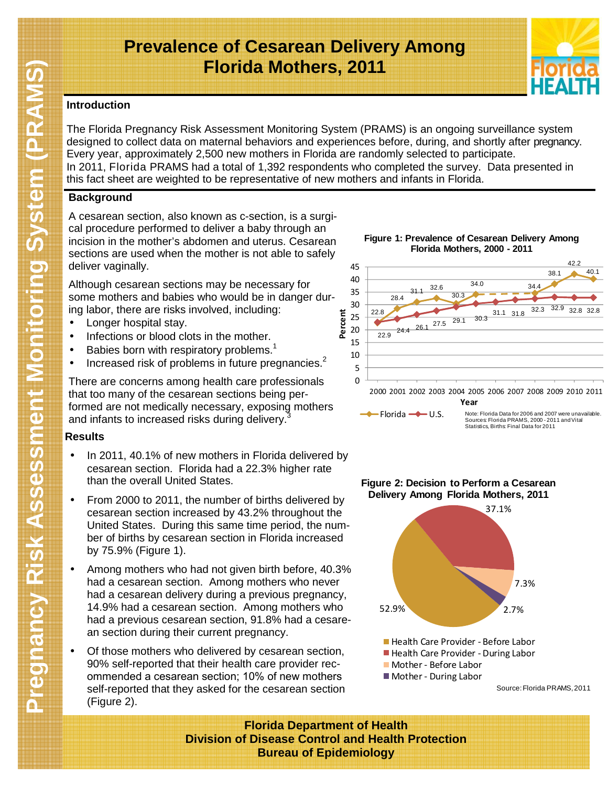# **Prevalence of Cesarean Delivery Among Florida Mothers, 2011**



## **Introduction**

The Florida Pregnancy Risk Assessment Monitoring System (PRAMS) is an ongoing surveillance system designed to collect data on maternal behaviors and experiences before, during, and shortly after pregnancy. Every year, approximately 2,500 new mothers in Florida are randomly selected to participate. In 2011, Florida PRAMS had a total of 1,392 respondents who completed the survey. Data presented in this fact sheet are weighted to be representative of new mothers and infants in Florida.

# **Background**

A cesarean section, also known as c-section, is a surgical procedure performed to deliver a baby through an incision in the mother's abdomen and uterus. Cesarean sections are used when the mother is not able to safely deliver vaginally.

Although cesarean sections may be necessary for some mothers and babies who would be in danger during labor, there are risks involved, including:

- Longer hospital stay.
- Infections or blood clots in the mother.
- Babies born with respiratory problems.<sup>1</sup>
- Increased risk of problems in future pregnancies. $2^2$

There are concerns among health care professionals that too many of the cesarean sections being performed are not medically necessary, exposing mothers and infants to increased risks during delivery.<sup>3</sup>

## **Results**

- In 2011, 40.1% of new mothers in Florida delivered by cesarean section. Florida had a 22.3% higher rate than the overall United States.
- From 2000 to 2011, the number of births delivered by cesarean section increased by 43.2% throughout the United States. During this same time period, the number of births by cesarean section in Florida increased by 75.9% (Figure 1).
- Among mothers who had not given birth before, 40.3% had a cesarean section. Among mothers who never had a cesarean delivery during a previous pregnancy, 14.9% had a cesarean section. Among mothers who had a previous cesarean section, 91.8% had a cesarean section during their current pregnancy.
- Of those mothers who delivered by cesarean section, 90% self-reported that their health care provider recommended a cesarean section; 10% of new mothers self-reported that they asked for the cesarean section (Figure 2).



**Figure 1: Prevalence of Cesarean Delivery Among** 





**Florida Department of Health Division of Disease Control and Health Protection Bureau of Epidemiology**